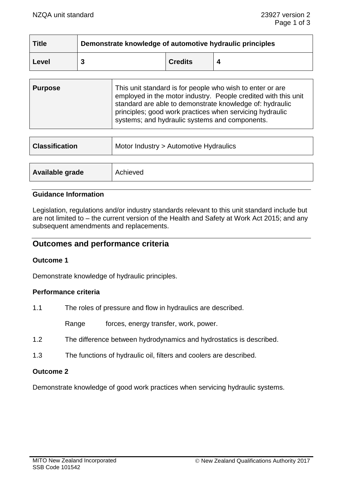| <b>Title</b> | Demonstrate knowledge of automotive hydraulic principles |                |  |
|--------------|----------------------------------------------------------|----------------|--|
| Level        |                                                          | <b>Credits</b> |  |

| <b>Purpose</b> | This unit standard is for people who wish to enter or are<br>employed in the motor industry. People credited with this unit<br>standard are able to demonstrate knowledge of: hydraulic<br>principles; good work practices when servicing hydraulic<br>systems; and hydraulic systems and components. |
|----------------|-------------------------------------------------------------------------------------------------------------------------------------------------------------------------------------------------------------------------------------------------------------------------------------------------------|
|                |                                                                                                                                                                                                                                                                                                       |

| <b>Classification</b> | Motor Industry > Automotive Hydraulics |  |
|-----------------------|----------------------------------------|--|
|                       |                                        |  |
| Available grade       | Achieved                               |  |

# **Guidance Information**

Legislation, regulations and/or industry standards relevant to this unit standard include but are not limited to – the current version of the Health and Safety at Work Act 2015; and any subsequent amendments and replacements.

# **Outcomes and performance criteria**

## **Outcome 1**

Demonstrate knowledge of hydraulic principles.

## **Performance criteria**

1.1 The roles of pressure and flow in hydraulics are described.

Range forces, energy transfer, work, power.

- 1.2 The difference between hydrodynamics and hydrostatics is described.
- 1.3 The functions of hydraulic oil, filters and coolers are described.

## **Outcome 2**

Demonstrate knowledge of good work practices when servicing hydraulic systems.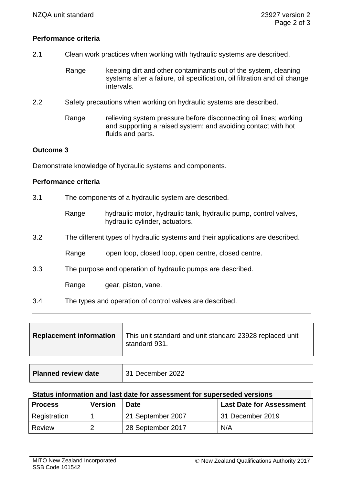# **Performance criteria**

- 2.1 Clean work practices when working with hydraulic systems are described.
	- Range keeping dirt and other contaminants out of the system, cleaning systems after a failure, oil specification, oil filtration and oil change intervals.
- 2.2 Safety precautions when working on hydraulic systems are described.
	- Range relieving system pressure before disconnecting oil lines; working and supporting a raised system; and avoiding contact with hot fluids and parts.

# **Outcome 3**

Demonstrate knowledge of hydraulic systems and components.

## **Performance criteria**

- 3.1 The components of a hydraulic system are described.
	- Range hydraulic motor, hydraulic tank, hydraulic pump, control valves, hydraulic cylinder, actuators.
- 3.2 The different types of hydraulic systems and their applications are described.
	- Range open loop, closed loop, open centre, closed centre.
- 3.3 The purpose and operation of hydraulic pumps are described.

Range gear, piston, vane.

3.4 The types and operation of control valves are described.

| <b>Replacement information</b> | This unit standard and unit standard 23928 replaced unit<br>standard 931. |
|--------------------------------|---------------------------------------------------------------------------|
|                                |                                                                           |

| <b>Planned review date</b> | 31 December 2022 |
|----------------------------|------------------|
|----------------------------|------------------|

#### **Status information and last date for assessment for superseded versions**

| <b>Process</b> | <b>Version</b> | <b>Date</b>       | <b>Last Date for Assessment</b> |
|----------------|----------------|-------------------|---------------------------------|
| Registration   |                | 21 September 2007 | 31 December 2019                |
| Review         | ാ              | 28 September 2017 | N/A                             |